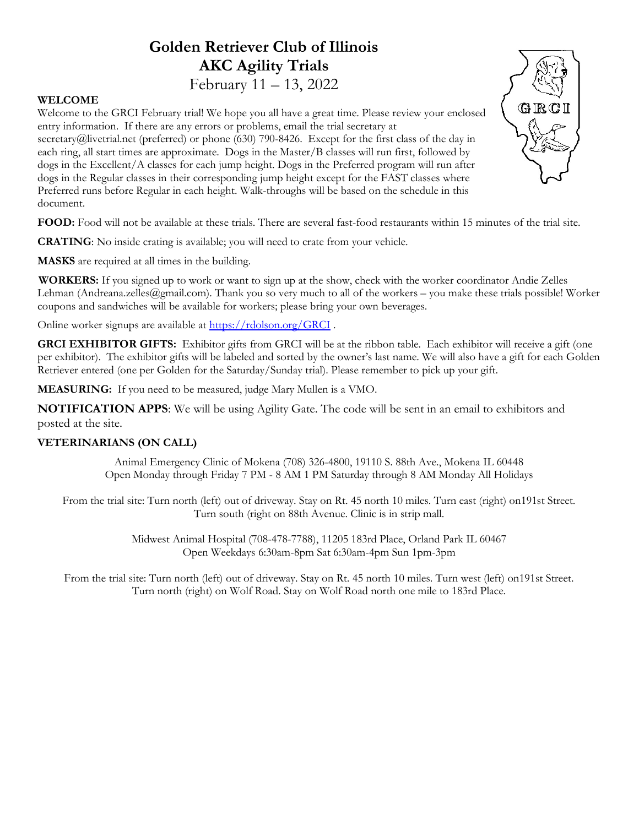# Golden Retriever Club of Illinois AKC Agility Trials

### February 11 – 13, 2022

#### WELCOME

document.

Welcome to the GRCI February trial! We hope you all have a great time. Please review your enclosed entry information. If there are any errors or problems, email the trial secretary at secretary@livetrial.net (preferred) or phone (630) 790-8426. Except for the first class of the day in each ring, all start times are approximate. Dogs in the Master/B classes will run first, followed by dogs in the Excellent/A classes for each jump height. Dogs in the Preferred program will run after dogs in the Regular classes in their corresponding jump height except for the FAST classes where

Preferred runs before Regular in each height. Walk-throughs will be based on the schedule in this



FOOD: Food will not be available at these trials. There are several fast-food restaurants within 15 minutes of the trial site.

CRATING: No inside crating is available; you will need to crate from your vehicle.

MASKS are required at all times in the building.

WORKERS: If you signed up to work or want to sign up at the show, check with the worker coordinator Andie Zelles Lehman (Andreana.zelles@gmail.com). Thank you so very much to all of the workers – you make these trials possible! Worker coupons and sandwiches will be available for workers; please bring your own beverages.

Online worker signups are available at https://rdolson.org/GRCI .

GRCI EXHIBITOR GIFTS: Exhibitor gifts from GRCI will be at the ribbon table. Each exhibitor will receive a gift (one per exhibitor). The exhibitor gifts will be labeled and sorted by the owner's last name. We will also have a gift for each Golden Retriever entered (one per Golden for the Saturday/Sunday trial). Please remember to pick up your gift.

MEASURING: If you need to be measured, judge Mary Mullen is a VMO.

NOTIFICATION APPS: We will be using Agility Gate. The code will be sent in an email to exhibitors and posted at the site.

#### VETERINARIANS (ON CALL)

Animal Emergency Clinic of Mokena (708) 326-4800, 19110 S. 88th Ave., Mokena IL 60448 Open Monday through Friday 7 PM - 8 AM 1 PM Saturday through 8 AM Monday All Holidays

From the trial site: Turn north (left) out of driveway. Stay on Rt. 45 north 10 miles. Turn east (right) on191st Street. Turn south (right on 88th Avenue. Clinic is in strip mall.

> Midwest Animal Hospital (708-478-7788), 11205 183rd Place, Orland Park IL 60467 Open Weekdays 6:30am-8pm Sat 6:30am-4pm Sun 1pm-3pm

From the trial site: Turn north (left) out of driveway. Stay on Rt. 45 north 10 miles. Turn west (left) on191st Street. Turn north (right) on Wolf Road. Stay on Wolf Road north one mile to 183rd Place.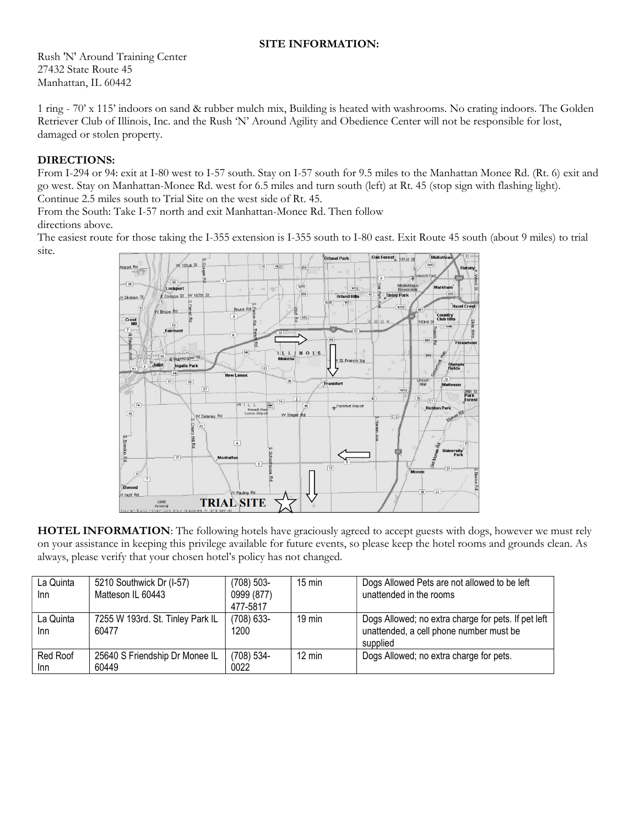#### SITE INFORMATION:

Rush 'N' Around Training Center 27432 State Route 45 Manhattan, IL 60442

1 ring - 70' x 115' indoors on sand & rubber mulch mix, Building is heated with washrooms. No crating indoors. The Golden Retriever Club of Illinois, Inc. and the Rush 'N' Around Agility and Obedience Center will not be responsible for lost, damaged or stolen property.

#### DIRECTIONS:

From I-294 or 94: exit at I-80 west to I-57 south. Stay on I-57 south for 9.5 miles to the Manhattan Monee Rd. (Rt. 6) exit and go west. Stay on Manhattan-Monee Rd. west for 6.5 miles and turn south (left) at Rt. 45 (stop sign with flashing light). Continue 2.5 miles south to Trial Site on the west side of Rt. 45.

From the South: Take I-57 north and exit Manhattan-Monee Rd. Then follow directions above.

The easiest route for those taking the I-355 extension is I-355 south to I-80 east. Exit Route 45 south (about 9 miles) to trial site.



HOTEL INFORMATION: The following hotels have graciously agreed to accept guests with dogs, however we must rely on your assistance in keeping this privilege available for future events, so please keep the hotel rooms and grounds clean. As always, please verify that your chosen hotel's policy has not changed.

| La Quinta<br>Inn | 5210 Southwick Dr (I-57)<br>Matteson IL 60443 | $(708) 503 -$<br>0999 (877)<br>477-5817 | $15 \text{ min}$ | Dogs Allowed Pets are not allowed to be left<br>unattended in the rooms                                    |
|------------------|-----------------------------------------------|-----------------------------------------|------------------|------------------------------------------------------------------------------------------------------------|
| La Quinta<br>Inn | 7255 W 193rd. St. Tinley Park IL<br>60477     | $(708)$ 633-<br>1200                    | $19 \text{ min}$ | Dogs Allowed; no extra charge for pets. If pet left<br>unattended, a cell phone number must be<br>supplied |
| Red Roof<br>Inn  | 25640 S Friendship Dr Monee IL<br>60449       | $(708) 534 -$<br>0022                   | $12 \text{ min}$ | Dogs Allowed; no extra charge for pets.                                                                    |